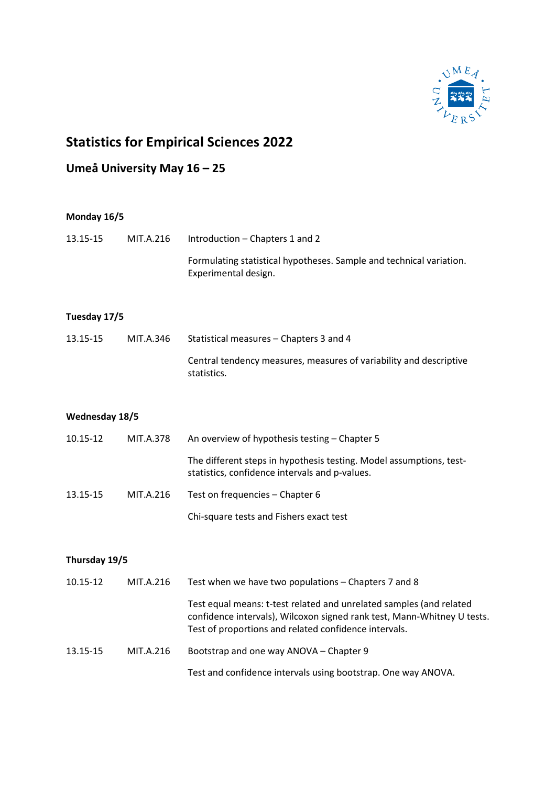

## **Statistics for Empirical Sciences 2022**

## **Umeå University May 16 – 25**

| Monday 16/5    |           |                                                                                                                                                                                                         |  |  |
|----------------|-----------|---------------------------------------------------------------------------------------------------------------------------------------------------------------------------------------------------------|--|--|
| 13.15-15       | MIT.A.216 | Introduction - Chapters 1 and 2                                                                                                                                                                         |  |  |
|                |           | Formulating statistical hypotheses. Sample and technical variation.<br>Experimental design.                                                                                                             |  |  |
| Tuesday 17/5   |           |                                                                                                                                                                                                         |  |  |
| 13.15-15       | MIT.A.346 | Statistical measures - Chapters 3 and 4                                                                                                                                                                 |  |  |
|                |           | Central tendency measures, measures of variability and descriptive<br>statistics.                                                                                                                       |  |  |
| Wednesday 18/5 |           |                                                                                                                                                                                                         |  |  |
| 10.15-12       | MIT.A.378 | An overview of hypothesis testing - Chapter 5                                                                                                                                                           |  |  |
|                |           | The different steps in hypothesis testing. Model assumptions, test-<br>statistics, confidence intervals and p-values.                                                                                   |  |  |
| 13.15-15       | MIT.A.216 | Test on frequencies - Chapter 6                                                                                                                                                                         |  |  |
|                |           | Chi-square tests and Fishers exact test                                                                                                                                                                 |  |  |
| Thursday 19/5  |           |                                                                                                                                                                                                         |  |  |
| 10.15-12       | MIT.A.216 | Test when we have two populations - Chapters 7 and 8                                                                                                                                                    |  |  |
|                |           | Test equal means: t-test related and unrelated samples (and related<br>confidence intervals), Wilcoxon signed rank test, Mann-Whitney U tests.<br>Test of proportions and related confidence intervals. |  |  |

13.15-15 MIT.A.216 Bootstrap and one way ANOVA – Chapter 9

Test and confidence intervals using bootstrap. One way ANOVA.